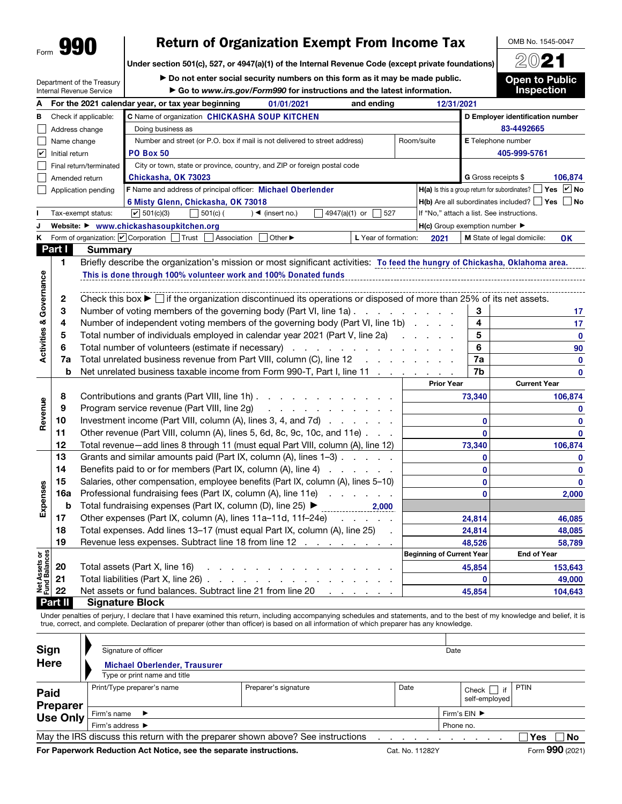## Return of Organization Exempt From Income Tax

OMB No. 1545-0047 2021

Under section 501(c), 527, or 4947(a)(1) of the Internal Revenue Code (except private foundations)

Department of the Treasury Internal Revenue Service

▶ Do not enter social security numbers on this form as it may be made public. ▶ Go to *www.irs.gov/Form990* for instructions and the latest information.

**Open to Public** Inspection

| А                                  |                |                                                                                                                                             | For the 2021 calendar year, or tax year beginning<br>01/01/2021<br>and ending                                               |                     | 12/31/2021                                                      |                                  |  |  |
|------------------------------------|----------------|---------------------------------------------------------------------------------------------------------------------------------------------|-----------------------------------------------------------------------------------------------------------------------------|---------------------|-----------------------------------------------------------------|----------------------------------|--|--|
| в                                  |                | Check if applicable:                                                                                                                        | C Name of organization CHICKASHA SOUP KITCHEN                                                                               |                     | D Employer identification number                                |                                  |  |  |
|                                    |                | Address change                                                                                                                              | Doing business as                                                                                                           |                     | 83-4492665                                                      |                                  |  |  |
|                                    | Name change    |                                                                                                                                             | Number and street (or P.O. box if mail is not delivered to street address)<br>Room/suite                                    |                     | <b>E</b> Telephone number                                       |                                  |  |  |
| $ \boldsymbol{v} $                 | Initial return |                                                                                                                                             | <b>PO Box 50</b>                                                                                                            |                     |                                                                 | 405-999-5761                     |  |  |
|                                    |                | Final return/terminated                                                                                                                     | City or town, state or province, country, and ZIP or foreign postal code                                                    |                     |                                                                 |                                  |  |  |
|                                    |                | Amended return                                                                                                                              | Chickasha, OK 73023                                                                                                         |                     | G Gross receipts \$<br>106,874                                  |                                  |  |  |
|                                    |                | Application pending                                                                                                                         | H(a) Is this a group return for subordinates?                                                                               | $ v $ No<br>$ Y$ es |                                                                 |                                  |  |  |
|                                    |                |                                                                                                                                             | 6 Misty Glenn, Chickasha, OK 73018                                                                                          |                     | <b>H(b)</b> Are all subordinates included? $\Box$ Yes $\Box$ No |                                  |  |  |
|                                    |                | Tax-exempt status:                                                                                                                          | If "No," attach a list. See instructions.                                                                                   |                     |                                                                 |                                  |  |  |
| J                                  |                |                                                                                                                                             | Website: ▶ www.chickashasoupkitchen.org                                                                                     |                     | $H(c)$ Group exemption number $\blacktriangleright$             |                                  |  |  |
| κ                                  |                |                                                                                                                                             | Form of organization: <i>O</i> Corporation Trust<br>Association<br>Other ▶<br>L Year of formation:                          | 2021                |                                                                 | M State of legal domicile:<br>0K |  |  |
|                                    | Part I         | <b>Summary</b>                                                                                                                              |                                                                                                                             |                     |                                                                 |                                  |  |  |
|                                    | 1.             |                                                                                                                                             | Briefly describe the organization's mission or most significant activities: To feed the hungry of Chickasha, Oklahoma area. |                     |                                                                 |                                  |  |  |
|                                    |                |                                                                                                                                             | This is done through 100% volunteer work and 100% Donated funds                                                             |                     |                                                                 |                                  |  |  |
| <b>Activities &amp; Governance</b> |                |                                                                                                                                             |                                                                                                                             |                     |                                                                 |                                  |  |  |
|                                    | 2              | Check this box $\blacktriangleright$ $\Box$ if the organization discontinued its operations or disposed of more than 25% of its net assets. |                                                                                                                             |                     |                                                                 |                                  |  |  |
|                                    | 3              |                                                                                                                                             | Number of voting members of the governing body (Part VI, line 1a)                                                           |                     | 3                                                               | 17                               |  |  |
|                                    | 4              |                                                                                                                                             | Number of independent voting members of the governing body (Part VI, line 1b)                                               | 4                   | 17                                                              |                                  |  |  |
|                                    | 5              |                                                                                                                                             | Total number of individuals employed in calendar year 2021 (Part V, line 2a)                                                | 5                   | $\mathbf 0$                                                     |                                  |  |  |
|                                    | 6              |                                                                                                                                             | Total number of volunteers (estimate if necessary)                                                                          | 6                   | 90                                                              |                                  |  |  |
|                                    | 7a             |                                                                                                                                             | Total unrelated business revenue from Part VIII, column (C), line 12<br>and a state of the state of                         |                     | 7a                                                              | 0                                |  |  |
|                                    | b              |                                                                                                                                             | Net unrelated business taxable income from Form 990-T, Part I, line 11                                                      |                     | 7b                                                              | 0                                |  |  |
|                                    |                |                                                                                                                                             |                                                                                                                             |                     | <b>Prior Year</b>                                               | <b>Current Year</b>              |  |  |
|                                    | 8              |                                                                                                                                             | Contributions and grants (Part VIII, line 1h)                                                                               | 73,340              |                                                                 | 106,874                          |  |  |
| Revenue                            | 9              |                                                                                                                                             | Program service revenue (Part VIII, line 2g)<br>a construction of the construction of                                       |                     | 0                                                               |                                  |  |  |
|                                    | 10             |                                                                                                                                             | Investment income (Part VIII, column (A), lines 3, 4, and 7d)                                                               |                     | $\mathbf{0}$                                                    | $\mathbf 0$                      |  |  |
|                                    | 11             |                                                                                                                                             | Other revenue (Part VIII, column (A), lines 5, 6d, 8c, 9c, 10c, and 11e)                                                    |                     | $\mathbf{0}$                                                    | $\mathbf 0$                      |  |  |
|                                    | 12             |                                                                                                                                             | Total revenue-add lines 8 through 11 (must equal Part VIII, column (A), line 12)                                            |                     | 73,340                                                          | 106,874                          |  |  |
|                                    | 13             |                                                                                                                                             | Grants and similar amounts paid (Part IX, column (A), lines 1-3)                                                            |                     | $\mathbf{0}$                                                    | $\mathbf 0$                      |  |  |
|                                    | 14             |                                                                                                                                             | Benefits paid to or for members (Part IX, column (A), line 4)                                                               |                     | 0                                                               | 0                                |  |  |
|                                    | 15             |                                                                                                                                             | Salaries, other compensation, employee benefits (Part IX, column (A), lines 5-10)                                           |                     | 0                                                               | $\mathbf 0$                      |  |  |
|                                    | 16a            |                                                                                                                                             | Professional fundraising fees (Part IX, column (A), line 11e)                                                               |                     | $\mathbf{0}$                                                    | 2,000                            |  |  |
| Expenses                           | b              |                                                                                                                                             | Total fundraising expenses (Part IX, column (D), line 25) ▶<br>2,000                                                        |                     |                                                                 |                                  |  |  |
|                                    | 17             |                                                                                                                                             | Other expenses (Part IX, column (A), lines 11a-11d, 11f-24e)<br><b>Service State</b>                                        |                     | 24,814                                                          | 46,085                           |  |  |
|                                    | 18             |                                                                                                                                             | Total expenses. Add lines 13-17 (must equal Part IX, column (A), line 25)                                                   |                     | 24,814                                                          | 48,085                           |  |  |
|                                    | 19             |                                                                                                                                             | Revenue less expenses. Subtract line 18 from line 12                                                                        |                     | 48.526                                                          | 58,789                           |  |  |
|                                    |                |                                                                                                                                             | <b>Beginning of Current Year</b>                                                                                            |                     |                                                                 | <b>End of Year</b>               |  |  |
| Net Assets or<br>Fund Balances     | 20             |                                                                                                                                             | Total assets (Part X, line 16)                                                                                              |                     | 45,854                                                          | 153,643                          |  |  |
|                                    | 21             |                                                                                                                                             | Total liabilities (Part X, line 26).<br>the contract of the contract of the                                                 |                     |                                                                 | 49,000                           |  |  |
|                                    | 22             |                                                                                                                                             | Net assets or fund balances. Subtract line 21 from line 20                                                                  |                     | $\Omega$<br>45,854                                              | 104,643                          |  |  |
|                                    | Part II        |                                                                                                                                             | <b>Signature Block</b>                                                                                                      |                     |                                                                 |                                  |  |  |
|                                    |                |                                                                                                                                             |                                                                                                                             |                     |                                                                 |                                  |  |  |

Under penalties of perjury, I declare that I have examined this return, including accompanying schedules and statements, and to the best of my knowledge and belief, it is true, correct, and complete. Declaration of preparer (other than officer) is based on all information of which preparer has any knowledge.

| Sign<br><b>Here</b>                                                                            | Signature of officer<br><b>Michael Oberlender, Trausurer</b> |                      |      | Date         |                                  |           |  |  |  |
|------------------------------------------------------------------------------------------------|--------------------------------------------------------------|----------------------|------|--------------|----------------------------------|-----------|--|--|--|
| Paid                                                                                           | Type or print name and title<br>Print/Type preparer's name   | Preparer's signature | Date |              | if<br>$Check$  <br>self-employed | PTIN      |  |  |  |
| <b>Preparer</b><br><b>Use Only</b>                                                             | Firm's name $\blacktriangleright$                            |                      |      | Firm's EIN ▶ |                                  |           |  |  |  |
|                                                                                                | Firm's address ▶                                             |                      |      |              |                                  | Phone no. |  |  |  |
| May the IRS discuss this return with the preparer shown above? See instructions<br>Yes<br>l No |                                                              |                      |      |              |                                  |           |  |  |  |
| $\mathbf{a} \mathbf{a} \mathbf{a}$                                                             |                                                              |                      |      |              |                                  |           |  |  |  |

For Paperwork Reduction Act Notice, see the separate instructions. Cat. No. 11282Y Form 990 (2021)